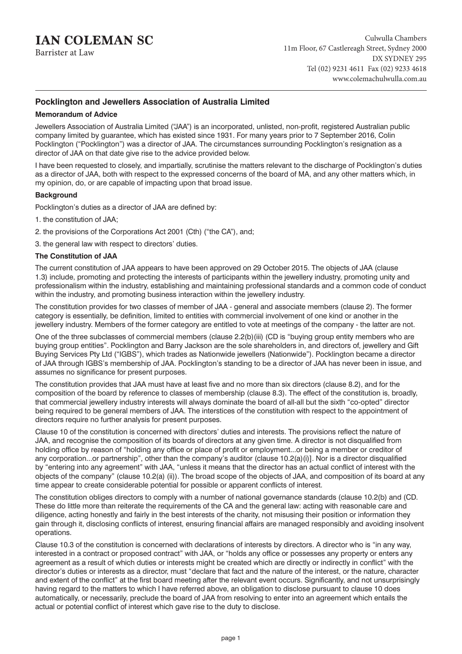# **IAN COLEMAN SC**

Barrister at Law

# **Pocklington and Jewellers Association of Australia Limited**

# **Memorandum of Advice**

Jewellers Association of Australia Limited ("JAA") is an incorporated, unlisted, non-profit, registered Australian public company limited by guarantee, which has existed since 1931. For many years prior to 7 September 2016, Colin Pocklington ("Pocklington") was a director of JAA. The circumstances surrounding Pocklington's resignation as a director of JAA on that date give rise to the advice provided below.

I have been requested to closely, and impartially, scrutinise the matters relevant to the discharge of Pocklington's duties as a director of JAA, both with respect to the expressed concerns of the board of MA, and any other matters which, in my opinion, do, or are capable of impacting upon that broad issue.

# **Background**

Pocklington's duties as a director of JAA are defined by:

- 1. the constitution of JAA;
- 2. the provisions of the Corporations Act 2001 (Cth) ("the CA"), and;
- 3. the general law with respect to directors' duties.

# **The Constitution of JAA**

The current constitution of JAA appears to have been approved on 29 October 2015. The objects of JAA (clause 1.3) include, promoting and protecting the interests of participants within the jewellery industry, promoting unity and professionalism within the industry, establishing and maintaining professional standards and a common code of conduct within the industry, and promoting business interaction within the jewellery industry.

The constitution provides for two classes of member of JAA - general and associate members (clause 2). The former category is essentially, be definition, limited to entities with commercial involvement of one kind or another in the jewellery industry. Members of the former category are entitled to vote at meetings of the company - the latter are not.

One of the three subclasses of commercial members (clause 2.2(b)(iii) (CD is "buying group entity members who are buying group entities". Pocklington and Barry Jackson are the sole shareholders in, and directors of, jewellery and Gift Buying Services Pty Ltd ("IGBS"), which trades as Nationwide jewellers (Nationwide"). Pocklington became a director of JAA through IGBS's membership of JAA. Pocklington's standing to be a director of JAA has never been in issue, and assumes no significance for present purposes.

The constitution provides that JAA must have at least five and no more than six directors (clause 8.2), and for the composition of the board by reference to classes of membership (clause 8.3). The effect of the constitution is, broadly, that commercial jewellery industry interests will always dominate the board of all-all but the sixth "co-opted" director being required to be general members of JAA. The interstices of the constitution with respect to the appointment of directors require no further analysis for present purposes.

Clause 10 of the constitution is concerned with directors' duties and interests. The provisions reflect the nature of JAA, and recognise the composition of its boards of directors at any given time. A director is not disqualified from holding office by reason of "holding any office or place of profit or employment...or being a member or creditor of any corporation...or partnership", other than the company's auditor (clause 10.2(a)(i)]. Nor is a director disqualified by "entering into any agreement" with JAA, "unless it means that the director has an actual conflict of interest with the objects of the company" (clause 10.2(a) (ii)). The broad scope of the objects of JAA, and composition of its board at any time appear to create considerable potential for possible or apparent conflicts of interest.

The constitution obliges directors to comply with a number of national governance standards (clause 10.2(b) and (CD. These do little more than reiterate the requirements of the CA and the general law: acting with reasonable care and diligence, acting honestly and fairly in the best interests of the charity, not misusing their position or information they gain through it, disclosing conflicts of interest, ensuring financial affairs are managed responsibly and avoiding insolvent operations.

Clause 10.3 of the constitution is concerned with declarations of interests by directors. A director who is "in any way, interested in a contract or proposed contract" with JAA, or "holds any office or possesses any property or enters any agreement as a result of which duties or interests might be created which are directly or indirectly in conflict" with the director's duties or interests as a director, must "declare that fact and the nature of the interest, or the nature, character and extent of the conflict" at the first board meeting after the relevant event occurs. Significantly, and not unsurprisingly having regard to the matters to which I have referred above, an obligation to disclose pursuant to clause 10 does automatically, or necessarily, preclude the board of JAA from resolving to enter into an agreement which entails the actual or potential conflict of interest which gave rise to the duty to disclose.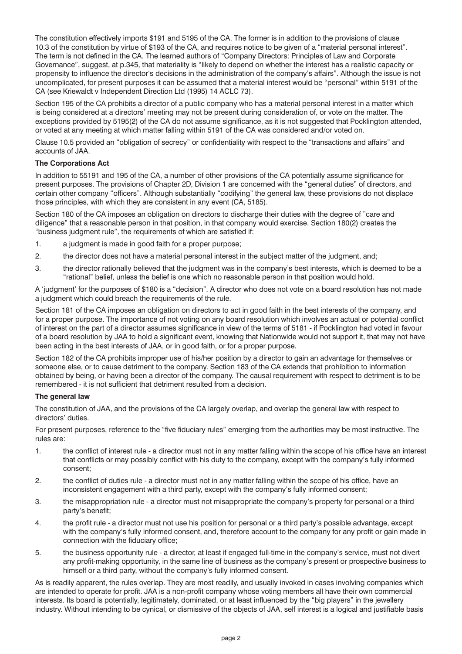The constitution effectively imports \$191 and 5195 of the CA. The former is in addition to the provisions of clause 10.3 of the constitution by virtue of \$193 of the CA, and requires notice to be given of a "material personal interest". The term is not defined in the CA. The learned authors of "Company Directors: Principles of Law and Corporate Governance", suggest, at p.345, that materiality is "likely to depend on whether the interest has a realistic capacity or propensity to influence the director's decisions in the administration of the company's affairs". Although the issue is not uncomplicated, for present purposes it can be assumed that a material interest would be "personal" within 5191 of the CA (see Kriewaldt v Independent Direction Ltd (1995) 14 ACLC 73).

Section 195 of the CA prohibits a director of a public company who has a material personal interest in a matter which is being considered at a directors' meeting may not be present during consideration of, or vote on the matter. The exceptions provided by 5195(2) of the CA do not assume significance, as it is not suggested that Pocklington attended, or voted at any meeting at which matter falling within 5191 of the CA was considered and/or voted on.

Clause 10.5 provided an "obligation of secrecy" or confidentiality with respect to the "transactions and affairs" and accounts of JAA.

# **The Corporations Act**

In addition to 55191 and 195 of the CA, a number of other provisions of the CA potentially assume significance for present purposes. The provisions of Chapter 2D, Division 1 are concerned with the "general duties" of directors, and certain other company "officers". Although substantially "codifying" the general law, these provisions do not displace those principles, with which they are consistent in any event (CA, 5185).

Section 180 of the CA imposes an obligation on directors to discharge their duties with the degree of "care and diligence" that a reasonable person in that position, in that company would exercise. Section 180(2) creates the "business judgment rule", the requirements of which are satisfied if:

- 1. a judgment is made in good faith for a proper purpose;
- 2. the director does not have a material personal interest in the subject matter of the judgment, and;
- 3. the director rationally believed that the judgment was in the company's best interests, which is deemed to be a "rational" belief, unless the belief is one which no reasonable person in that position would hold.

A 'judgment' for the purposes of \$180 is a "decision". A director who does not vote on a board resolution has not made a judgment which could breach the requirements of the rule.

Section 181 of the CA imposes an obligation on directors to act in good faith in the best interests of the company, and for a proper purpose. The importance of not voting on any board resolution which involves an actual or potential conflict of interest on the part of a director assumes significance in view of the terms of 5181 - if Pocklington had voted in favour of a board resolution by JAA to hold a significant event, knowing that Nationwide would not support it, that may not have been acting in the best interests of JAA, or in good faith, or for a proper purpose.

Section 182 of the CA prohibits improper use of his/her position by a director to gain an advantage for themselves or someone else, or to cause detriment to the company. Section 183 of the CA extends that prohibition to information obtained by being, or having been a director of the company. The causal requirement with respect to detriment is to be remembered - it is not sufficient that detriment resulted from a decision.

#### **The general law**

The constitution of JAA, and the provisions of the CA largely overlap, and overlap the general law with respect to directors' duties.

For present purposes, reference to the "five fiduciary rules" emerging from the authorities may be most instructive. The rules are:

- 1. the conflict of interest rule a director must not in any matter falling within the scope of his office have an interest that conflicts or may possibly conflict with his duty to the company, except with the company's fully informed consent;
- 2. the conflict of duties rule a director must not in any matter falling within the scope of his office, have an inconsistent engagement with a third party, except with the company's fully informed consent;
- 3. the misappropriation rule a director must not misappropriate the company's property for personal or a third party's benefit;
- 4. the profit rule a director must not use his position for personal or a third party's possible advantage, except with the company's fully informed consent, and, therefore account to the company for any profit or gain made in connection with the fiduciary office;
- 5. the business opportunity rule a director, at least if engaged full-time in the company's service, must not divert any profit-making opportunity, in the same line of business as the company's present or prospective business to himself or a third party, without the company's fully informed consent.

As is readily apparent, the rules overlap. They are most readily, and usually invoked in cases involving companies which are intended to operate for profit. JAA is a non-profit company whose voting members all have their own commercial interests. Its board is potentially, legitimately, dominated, or at least influenced by the "big players" in the jewellery industry. Without intending to be cynical, or dismissive of the objects of JAA, self interest is a logical and justifiable basis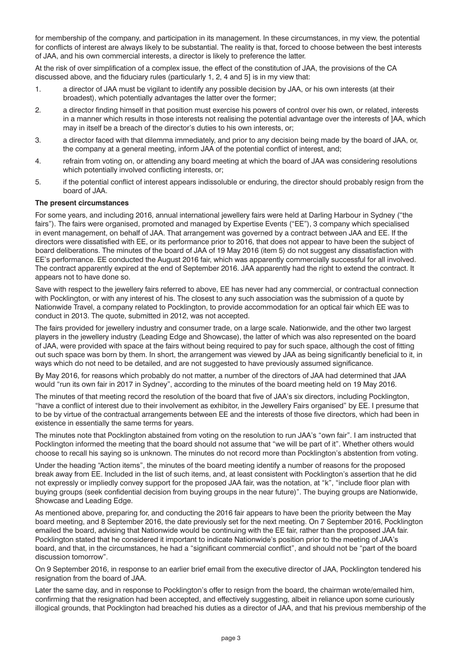for membership of the company, and participation in its management. In these circumstances, in my view, the potential for conflicts of interest are always likely to be substantial. The reality is that, forced to choose between the best interests of JAA, and his own commercial interests, a director is likely to preference the latter.

At the risk of over simplification of a complex issue, the effect of the constitution of JAA, the provisions of the CA discussed above, and the fiduciary rules (particularly 1, 2, 4 and 5] is in my view that:

- 1. a director of JAA must be vigilant to identify any possible decision by JAA, or his own interests (at their broadest), which potentially advantages the latter over the former;
- 2. a director finding himself in that position must exercise his powers of control over his own, or related, interests in a manner which results in those interests not realising the potential advantage over the interests of ]AA, which may in itself be a breach of the director's duties to his own interests, or;
- 3. a director faced with that dilemma immediately, and prior to any decision being made by the board of JAA, or, the company at a general meeting, inform JAA of the potential conflict of interest, and;
- 4. refrain from voting on, or attending any board meeting at which the board of JAA was considering resolutions which potentially involved conflicting interests, or;
- 5. if the potential conflict of interest appears indissoluble or enduring, the director should probably resign from the board of JAA.

#### **The present circumstances**

For some years, and including 2016, annual international jewellery fairs were held at Darling Harbour in Sydney ("the fairs"). The fairs were organised, promoted and managed by Expertise Events ("EE"), 3 company which specialised in event management, on behalf of JAA. That arrangement was governed by a contract between JAA and EE. If the directors were dissatisfied with EE, or its performance prior to 2016, that does not appear to have been the subject of board deliberations. The minutes of the board of JAA of 19 May 2016 (item 5) do not suggest any dissatisfaction with EE's performance. EE conducted the August 2016 fair, which was apparently commercially successful for all involved. The contract apparently expired at the end of September 2016. JAA apparently had the right to extend the contract. It appears not to have done so.

Save with respect to the jewellery fairs referred to above, EE has never had any commercial, or contractual connection with Pocklington, or with any interest of his. The closest to any such association was the submission of a quote by Nationwide Travel, a company related to Pocklington, to provide accommodation for an optical fair which EE was to conduct in 2013. The quote, submitted in 2012, was not accepted.

The fairs provided for jewellery industry and consumer trade, on a large scale. Nationwide, and the other two largest players in the jewellery industry (Leading Edge and Showcase), the latter of which was also represented on the board of JAA, were provided with space at the fairs without being required to pay for such space, although the cost of fitting out such space was born by them. In short, the arrangement was viewed by JAA as being significantly beneficial to it, in ways which do not need to be detailed, and are not suggested to have previously assumed significance.

By May 2016, for reasons which probably do not matter, a number of the directors of JAA had determined that JAA would "run its own fair in 2017 in Sydney", according to the minutes of the board meeting held on 19 May 2016.

The minutes of that meeting record the resolution of the board that five of JAA's six directors, including Pocklington, "have a conflict of interest due to their involvement as exhibitor, in the Jewellery Fairs organised" by EE. I presume that to be by virtue of the contractual arrangements between EE and the interests of those five directors, which had been in existence in essentially the same terms for years.

The minutes note that Pocklington abstained from voting on the resolution to run JAA's "own fair". I am instructed that Pocklington informed the meeting that the board should not assume that "we will be part of it". Whether others would choose to recall his saying so is unknown. The minutes do not record more than Pocklington's abstention from voting.

Under the heading "Action items", the minutes of the board meeting identify a number of reasons for the proposed break away from EE. Included in the list of such items, and, at least consistent with Pocklington's assertion that he did not expressly or impliedly convey support for the proposed JAA fair, was the notation, at "k", "include floor plan with buying groups (seek confidential decision from buying groups in the near future)". The buying groups are Nationwide, Showcase and Leading Edge.

As mentioned above, preparing for, and conducting the 2016 fair appears to have been the priority between the May board meeting, and 8 September 2016, the date previously set for the next meeting. On 7 September 2016, Pocklington emailed the board, advising that Nationwide would be continuing with the EE fair, rather than the proposed JAA fair. Pocklington stated that he considered it important to indicate Nationwide's position prior to the meeting of JAA's board, and that, in the circumstances, he had a "significant commercial conflict", and should not be "part of the board discussion tomorrow".

On 9 September 2016, in response to an earlier brief email from the executive director of JAA, Pocklington tendered his resignation from the board of JAA.

Later the same day, and in response to Pocklington's offer to resign from the board, the chairman wrote/emailed him, confirming that the resignation had been accepted, and effectively suggesting, albeit in reliance upon some curiously illogical grounds, that Pocklington had breached his duties as a director of JAA, and that his previous membership of the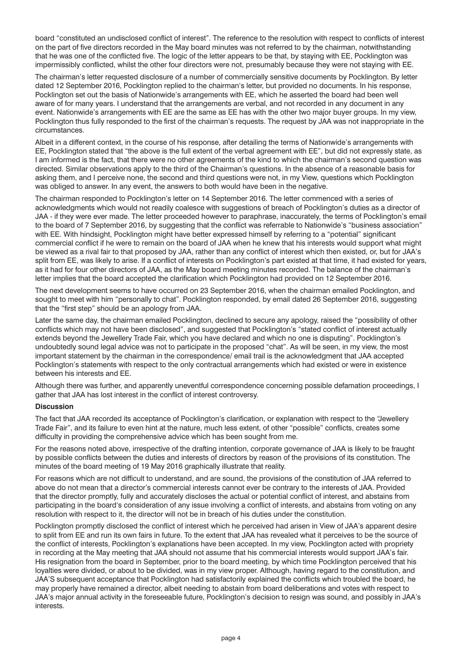board "constituted an undisclosed conflict of interest". The reference to the resolution with respect to conflicts of interest on the part of five directors recorded in the May board minutes was not referred to by the chairman, notwithstanding that he was one of the conflicted five. The logic of the letter appears to be that, by staying with EE, Pocklington was impermissibly conflicted, whilst the other four directors were not, presumably because they were not staying with EE.

The chairman's letter requested disclosure of a number of commercially sensitive documents by Pocklington. By letter dated 12 September 2016, Pocklington replied to the chairman's letter, but provided no documents. In his response, Pocklington set out the basis of Nationwide's arrangements with EE, which he asserted the board had been well aware of for many years. I understand that the arrangements are verbal, and not recorded in any document in any event. Nationwide's arrangements with EE are the same as EE has with the other two major buyer groups. In my view, Pocklington thus fully responded to the first of the chairman's requests. The request by JAA was not inappropriate in the circumstances.

Albeit in a different context, in the course of his response, after detailing the terms of Nationwide's arrangements with EE, Pocklington stated that "the above is the full extent of the verbal agreement with EE", but did not expressly state, as I am informed is the fact, that there were no other agreements of the kind to which the chairman's second question was directed. Similar observations apply to the third of the Chairman's questions. In the absence of a reasonable basis for asking them, and I perceive none, the second and third questions were not, in my View, questions which Pocklington was obliged to answer. In any event, the answers to both would have been in the negative.

The chairman responded to Pocklington's letter on 14 September 2016. The letter commenced with a series of acknowledgments which would not readily coalesce with suggestions of breach of Pocklington's duties as a director of JAA - if they were ever made. The letter proceeded however to paraphrase, inaccurately, the terms of Pocklington's email to the board of 7 September 2016, by suggesting that the conflict was referrable to Nationwide's "business association" with EE. With hindsight, Pocklington might have better expressed himself by referring to a "potential" significant commercial conflict if he were to remain on the board of JAA when he knew that his interests would support what might be viewed as a rival fair to that proposed by JAA, rather than any conflict of interest which then existed, or, but for JAA's split from EE, was likely to arise. If a conflict of interests on Pocklington's part existed at that time, it had existed for years, as it had for four other directors of JAA, as the May board meeting minutes recorded. The balance of the chairman's letter implies that the board accepted the clarification which Pocklington had provided on 12 September 2016.

The next development seems to have occurred on 23 September 2016, when the chairman emailed Pocklington, and sought to meet with him "personally to chat". Pocklington responded, by email dated 26 September 2016, suggesting that the "first step" should be an apology from JAA.

Later the same day, the chairman emailed Pocklington, declined to secure any apology, raised the "possibility of other conflicts which may not have been disclosed", and suggested that Pocklington's "stated conflict of interest actually extends beyond the Jewellery Trade Fair, which you have declared and which no one is disputing". Pocklington's undoubtedly sound legal advice was not to participate in the proposed "chat". As will be seen, in my view, the most important statement by the chairman in the correspondence/ email trail is the acknowledgment that JAA accepted Pocklington's statements with respect to the only contractual arrangements which had existed or were in existence between his interests and EE.

Although there was further, and apparently uneventful correspondence concerning possible defamation proceedings, I gather that JAA has lost interest in the conflict of interest controversy.

#### **Discussion**

The fact that JAA recorded its acceptance of Pocklington's clarification, or explanation with respect to the "Jewellery Trade Fair", and its failure to even hint at the nature, much less extent, of other "possible" conflicts, creates some difficulty in providing the comprehensive advice which has been sought from me.

For the reasons noted above, irrespective of the drafting intention, corporate governance of JAA is likely to be fraught by possible conflicts between the duties and interests of directors by reason of the provisions of its constitution. The minutes of the board meeting of 19 May 2016 graphically illustrate that reality.

For reasons which are not difficult to understand, and are sound, the provisions of the constitution of JAA referred to above do not mean that a director's commercial interests cannot ever be contrary to the interests of JAA. Provided that the director promptly, fully and accurately discloses the actual or potential conflict of interest, and abstains from participating in the board's consideration of any issue involving a conflict of interests, and abstains from voting on any resolution with respect to it, the director will not be in breach of his duties under the constitution.

Pocklington promptly disclosed the conflict of interest which he perceived had arisen in View of JAA's apparent desire to split from EE and run its own fairs in future. To the extent that JAA has revealed what it perceives to be the source of the conflict of interests, Pocklington's explanations have been accepted. In my view, Pocklington acted with propriety in recording at the May meeting that JAA should not assume that his commercial interests would support JAA's fair. His resignation from the board in September, prior to the board meeting, by which time Pocklington perceived that his loyalties were divided, or about to be divided, was in my view proper. Although, having regard to the constitution, and JAA'S subsequent acceptance that Pocklington had satisfactorily explained the conflicts which troubled the board, he may properly have remained a director, albeit needing to abstain from board deliberations and votes with respect to JAA's major annual activity in the foreseeable future, Pocklington's decision to resign was sound, and possibly in JAA's interests.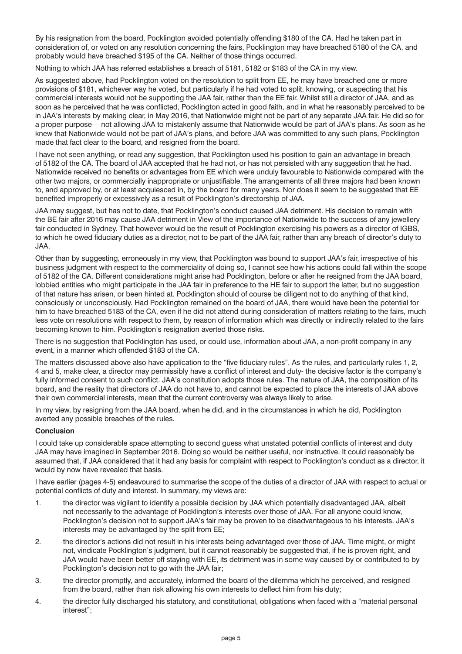By his resignation from the board, Pocklington avoided potentially offending \$180 of the CA. Had he taken part in consideration of, or voted on any resolution concerning the fairs, Pocklington may have breached 5180 of the CA, and probably would have breached \$195 of the CA. Neither of those things occurred.

Nothing to which JAA has referred establishes a breach of 5181, 5182 or \$183 of the CA in my view.

As suggested above, had Pocklington voted on the resolution to split from EE, he may have breached one or more provisions of \$181, whichever way he voted, but particularly if he had voted to split, knowing, or suspecting that his commercial interests would not be supporting the JAA fair, rather than the EE fair. Whilst still a director of JAA, and as soon as he perceived that he was conflicted, Pocklington acted in good faith, and in what he reasonably perceived to be in JAA's interests by making clear, in May 2016, that Nationwide might not be part of any separate JAA fair. He did so for a proper purpose— not allowing JAA to mistakenly assume that Nationwide would be part of JAA's plans. As soon as he knew that Nationwide would not be part of JAA's plans, and before JAA was committed to any such plans, Pocklington made that fact clear to the board, and resigned from the board.

I have not seen anything, or read any suggestion, that Pocklington used his position to gain an advantage in breach of 5182 of the CA. The board of JAA accepted that he had not, or has not persisted with any suggestion that he had. Nationwide received no benefits or advantages from EE which were unduly favourable to Nationwide compared with the other two majors, or commercially inappropriate or unjustifiable. The arrangements of all three majors had been known to, and approved by, or at least acquiesced in, by the board for many years. Nor does it seem to be suggested that EE benefited improperly or excessively as a result of Pocklington's directorship of JAA.

JAA may suggest, but has not to date, that Pocklington's conduct caused JAA detriment. His decision to remain with the BE fair after 2016 may cause JAA detriment in View of the importance of Nationwide to the success of any jewellery fair conducted in Sydney. That however would be the result of Pocklington exercising his powers as a director of IGBS, to which he owed fiduciary duties as a director, not to be part of the JAA fair, rather than any breach of director's duty to JAA.

Other than by suggesting, erroneously in my view, that Pocklington was bound to support JAA's fair, irrespective of his business judgment with respect to the commerciality of doing so, I cannot see how his actions could fall within the scope of 5182 of the CA. Different considerations might arise had Pocklington, before or after he resigned from the JAA board, lobbied entities who might participate in the JAA fair in preference to the HE fair to support the latter, but no suggestion of that nature has arisen, or been hinted at. Pocklington should of course be diligent not to do anything of that kind, consciously or unconsciously. Had Pocklington remained on the board of JAA, there would have been the potential for him to have breached 5183 of the CA, even if he did not attend during consideration of matters relating to the fairs, much less vote on resolutions with respect to them, by reason of information which was directly or indirectly related to the fairs becoming known to him. Pocklington's resignation averted those risks.

There is no suggestion that Pocklington has used, or could use, information about JAA, a non-profit company in any event, in a manner which offended \$183 of the CA.

The matters discussed above also have application to the "five fiduciary rules". As the rules, and particularly rules 1, 2, 4 and 5, make clear, a director may permissibly have a conflict of interest and duty- the decisive factor is the company's fully informed consent to such conflict. JAA's constitution adopts those rules. The nature of JAA, the composition of its board, and the reality that directors of JAA do not have to, and cannot be expected to place the interests of JAA above their own commercial interests, mean that the current controversy was always likely to arise.

In my view, by resigning from the JAA board, when he did, and in the circumstances in which he did, Pocklington averted any possible breaches of the rules.

#### **Conclusion**

I could take up considerable space attempting to second guess what unstated potential conflicts of interest and duty JAA may have imagined in September 2016. Doing so would be neither useful, nor instructive. It could reasonably be assumed that, if JAA considered that it had any basis for complaint with respect to Pocklington's conduct as a director, it would by now have revealed that basis.

I have earlier (pages 4-5) endeavoured to summarise the scope of the duties of a director of JAA with respect to actual or potential conflicts of duty and interest. In summary, my views are:

- 1. the director was vigilant to identify a possible decision by JAA which potentially disadvantaged JAA, albeit not necessarily to the advantage of Pocklington's interests over those of JAA. For all anyone could know, Pocklington's decision not to support JAA's fair may be proven to be disadvantageous to his interests. JAA's interests may be advantaged by the split from EE;
- 2. the director's actions did not result in his interests being advantaged over those of JAA. Time might, or might not, vindicate Pocklington's judgment, but it cannot reasonably be suggested that, if he is proven right, and JAA would have been better off staying with EE, its detriment was in some way caused by or contributed to by Pocklington's decision not to go with the JAA fair;
- 3. the director promptly, and accurately, informed the board of the dilemma which he perceived, and resigned from the board, rather than risk allowing his own interests to deflect him from his duty;
- 4. the director fully discharged his statutory, and constitutional, obligations when faced with a "material personal interest";